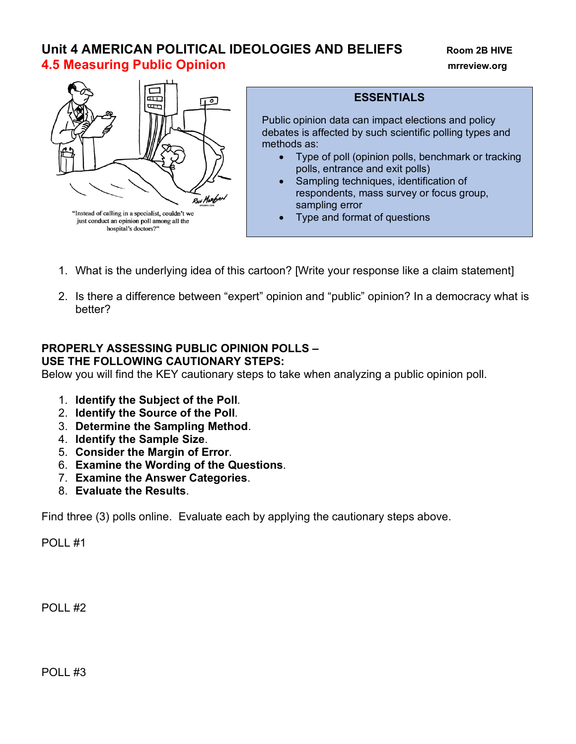# **Unit 4 AMERICAN POLITICAL IDEOLOGIES AND BELIEFS Room 2B HIVE 4.5 Measuring Public Opinion mrreview.org**



# **ESSENTIALS**

Public opinion data can impact elections and policy debates is affected by such scientific polling types and methods as:

- Type of poll (opinion polls, benchmark or tracking polls, entrance and exit polls)
- Sampling techniques, identification of respondents, mass survey or focus group, sampling error
- Type and format of questions
- 1. What is the underlying idea of this cartoon? [Write your response like a claim statement]
- 2. Is there a difference between "expert" opinion and "public" opinion? In a democracy what is better?

### **PROPERLY ASSESSING PUBLIC OPINION POLLS – USE THE FOLLOWING CAUTIONARY STEPS:**

Below you will find the KEY cautionary steps to take when analyzing a public opinion poll.

- 1. **Identify the Subject of the Poll**.
- 2. **Identify the Source of the Poll**.
- 3. **Determine the Sampling Method**.
- 4. **Identify the Sample Size**.
- 5. **Consider the Margin of Error**.
- 6. **Examine the Wording of the Questions**.
- 7. **Examine the Answer Categories**.
- 8. **Evaluate the Results**.

Find three (3) polls online. Evaluate each by applying the cautionary steps above.

POLL #1

POLL #2

POLL #3